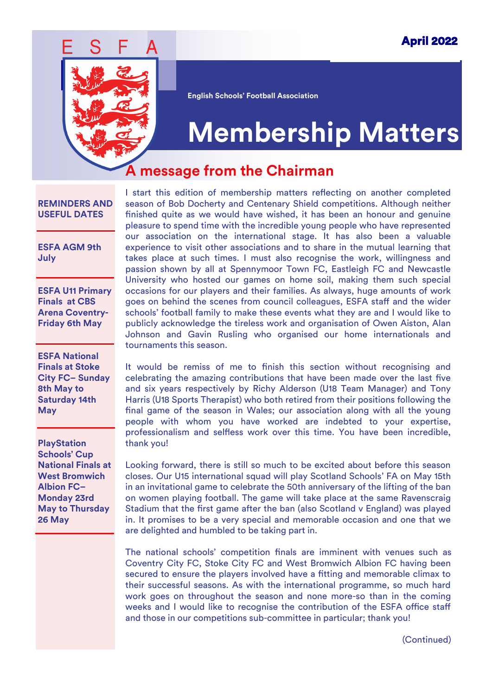

**English Schools' Football Association**

# **Membership Matters**

#### **A message from the Chairman**

#### **REMINDERS AND USEFUL DATES**

**ESFA AGM 9th July** 

**ESFA U11 Primary Finals at CBS Arena Coventry-Friday 6th May**

**ESFA National Finals at Stoke City FC– Sunday 8th May to Saturday 14th May**

**PlayStation Schools' Cup National Finals at West Bromwich Albion FC– Monday 23rd May to Thursday 26 May**

I start this edition of membership matters reflecting on another completed season of Bob Docherty and Centenary Shield competitions. Although neither finished quite as we would have wished, it has been an honour and genuine pleasure to spend time with the incredible young people who have represented our association on the international stage. It has also been a valuable experience to visit other associations and to share in the mutual learning that takes place at such times. I must also recognise the work, willingness and passion shown by all at Spennymoor Town FC, Eastleigh FC and Newcastle University who hosted our games on home soil, making them such special occasions for our players and their families. As always, huge amounts of work goes on behind the scenes from council colleagues, ESFA staff and the wider schools' football family to make these events what they are and I would like to publicly acknowledge the tireless work and organisation of Owen Aiston, Alan Johnson and Gavin Rusling who organised our home internationals and tournaments this season.

It would be remiss of me to finish this section without recognising and celebrating the amazing contributions that have been made over the last five and six years respectively by Richy Alderson (U18 Team Manager) and Tony Harris (U18 Sports Therapist) who both retired from their positions following the final game of the season in Wales; our association along with all the young people with whom you have worked are indebted to your expertise, professionalism and selfless work over this time. You have been incredible, thank you!

Looking forward, there is still so much to be excited about before this season closes. Our U15 international squad will play Scotland Schools' FA on May 15th in an invitational game to celebrate the 50th anniversary of the lifting of the ban on women playing football. The game will take place at the same Ravenscraig Stadium that the first game after the ban (also Scotland v England) was played in. It promises to be a very special and memorable occasion and one that we are delighted and humbled to be taking part in.

The national schools' competition finals are imminent with venues such as Coventry City FC, Stoke City FC and West Bromwich Albion FC having been secured to ensure the players involved have a fitting and memorable climax to their successful seasons. As with the international programme, so much hard work goes on throughout the season and none more-so than in the coming weeks and I would like to recognise the contribution of the ESFA office staff and those in our competitions sub-committee in particular; thank you!

(Continued)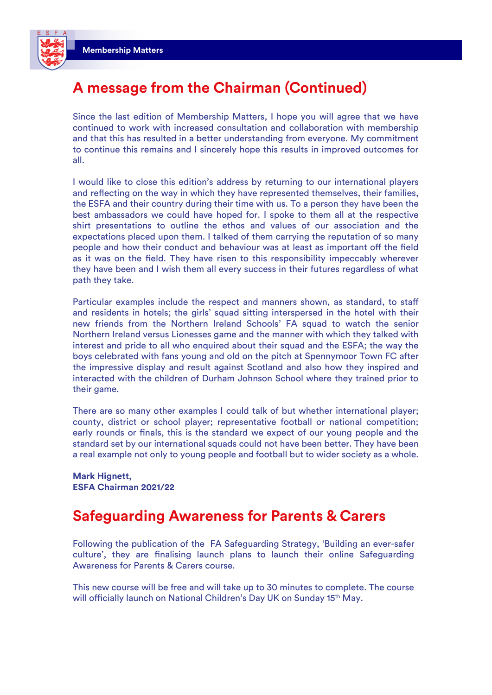

### **A message from the Chairman (Continued)**

Since the last edition of Membership Matters, I hope you will agree that we have continued to work with increased consultation and collaboration with membership and that this has resulted in a better understanding from everyone. My commitment to continue this remains and I sincerely hope this results in improved outcomes for all.

I would like to close this edition's address by returning to our international players and reflecting on the way in which they have represented themselves, their families, the ESFA and their country during their time with us. To a person they have been the best ambassadors we could have hoped for. I spoke to them all at the respective shirt presentations to outline the ethos and values of our association and the expectations placed upon them. I talked of them carrying the reputation of so many people and how their conduct and behaviour was at least as important off the field as it was on the field. They have risen to this responsibility impeccably wherever they have been and I wish them all every success in their futures regardless of what path they take.

Particular examples include the respect and manners shown, as standard, to staff and residents in hotels; the girls' squad sitting interspersed in the hotel with their new friends from the Northern Ireland Schools' FA squad to watch the senior Northern Ireland versus Lionesses game and the manner with which they talked with interest and pride to all who enquired about their squad and the ESFA; the way the boys celebrated with fans young and old on the pitch at Spennymoor Town FC after the impressive display and result against Scotland and also how they inspired and interacted with the children of Durham Johnson School where they trained prior to their game.

There are so many other examples I could talk of but whether international player; county, district or school player; representative football or national competition; early rounds or finals, this is the standard we expect of our young people and the standard set by our international squads could not have been better. They have been a real example not only to young people and football but to wider society as a whole.

**Mark Hignett, ESFA Chairman 2021/22**

#### **Safeguarding Awareness for Parents & Carers**

Following the publication of the FA Safeguarding Strategy, 'Building an ever-safer culture', they are finalising launch plans to launch their online Safeguarding Awareness for Parents & Carers course.

This new course will be free and will take up to 30 minutes to complete. The course will officially launch on National Children's Day UK on Sunday 15<sup>th</sup> May.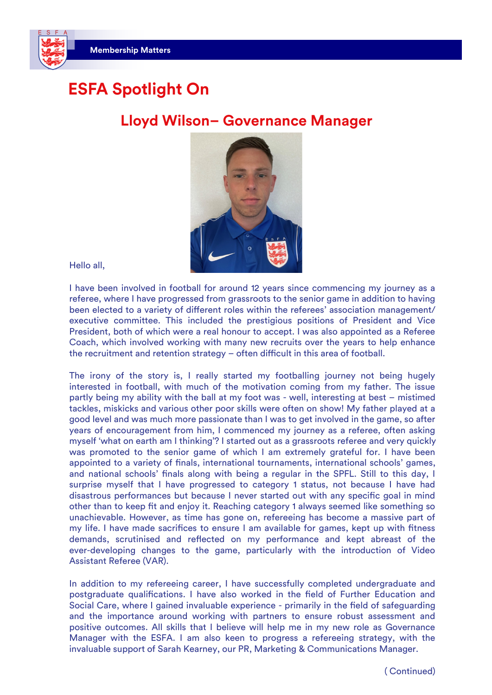# **ESFA Spotlight On**

#### **Lloyd Wilson– Governance Manager**



Hello all,

I have been involved in football for around 12 years since commencing my journey as a referee, where I have progressed from grassroots to the senior game in addition to having been elected to a variety of different roles within the referees' association management/ executive committee. This included the prestigious positions of President and Vice President, both of which were a real honour to accept. I was also appointed as a Referee Coach, which involved working with many new recruits over the years to help enhance the recruitment and retention strategy – often difficult in this area of football.

The irony of the story is, I really started my footballing journey not being hugely interested in football, with much of the motivation coming from my father. The issue partly being my ability with the ball at my foot was - well, interesting at best – mistimed tackles, miskicks and various other poor skills were often on show! My father played at a good level and was much more passionate than I was to get involved in the game, so after years of encouragement from him, I commenced my journey as a referee, often asking myself 'what on earth am I thinking'? I started out as a grassroots referee and very quickly was promoted to the senior game of which I am extremely grateful for. I have been appointed to a variety of finals, international tournaments, international schools' games, and national schools' finals along with being a regular in the SPFL. Still to this day, I surprise myself that I have progressed to category 1 status, not because I have had disastrous performances but because I never started out with any specific goal in mind other than to keep fit and enjoy it. Reaching category 1 always seemed like something so unachievable. However, as time has gone on, refereeing has become a massive part of my life. I have made sacrifices to ensure I am available for games, kept up with fitness demands, scrutinised and reflected on my performance and kept abreast of the ever-developing changes to the game, particularly with the introduction of Video Assistant Referee (VAR).

In addition to my refereeing career, I have successfully completed undergraduate and postgraduate qualifications. I have also worked in the field of Further Education and Social Care, where I gained invaluable experience - primarily in the field of safeguarding and the importance around working with partners to ensure robust assessment and positive outcomes. All skills that I believe will help me in my new role as Governance Manager with the ESFA. I am also keen to progress a refereeing strategy, with the invaluable support of Sarah Kearney, our PR, Marketing & Communications Manager.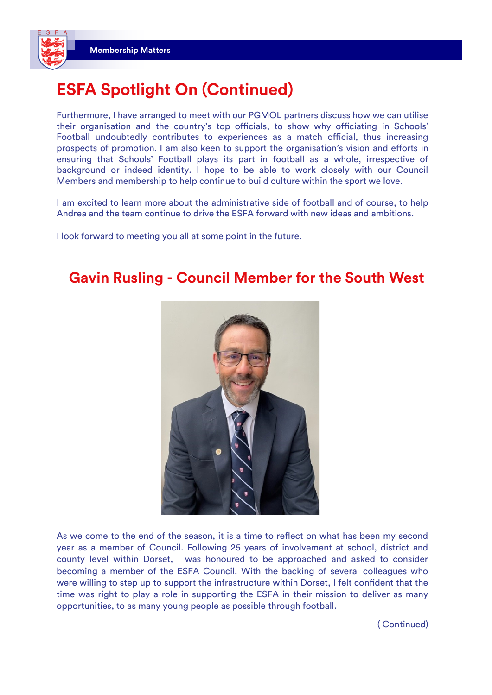

Furthermore, I have arranged to meet with our PGMOL partners discuss how we can utilise their organisation and the country's top officials, to show why officiating in Schools' Football undoubtedly contributes to experiences as a match official, thus increasing prospects of promotion. I am also keen to support the organisation's vision and efforts in ensuring that Schools' Football plays its part in football as a whole, irrespective of background or indeed identity. I hope to be able to work closely with our Council Members and membership to help continue to build culture within the sport we love.

I am excited to learn more about the administrative side of football and of course, to help Andrea and the team continue to drive the ESFA forward with new ideas and ambitions.

I look forward to meeting you all at some point in the future.

#### **Gavin Rusling - Council Member for the South West**



As we come to the end of the season, it is a time to reflect on what has been my second year as a member of Council. Following 25 years of involvement at school, district and county level within Dorset, I was honoured to be approached and asked to consider becoming a member of the ESFA Council. With the backing of several colleagues who were willing to step up to support the infrastructure within Dorset, I felt confident that the time was right to play a role in supporting the ESFA in their mission to deliver as many opportunities, to as many young people as possible through football.

( Continued)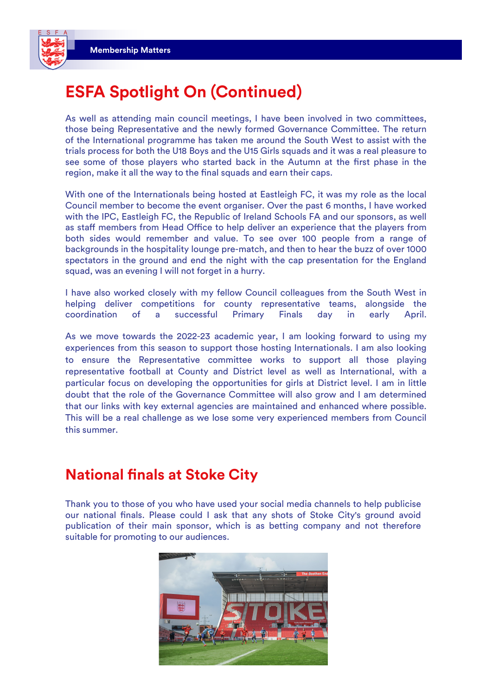

# **ESFA Spotlight On (Continued)**

As well as attending main council meetings, I have been involved in two committees, those being Representative and the newly formed Governance Committee. The return of the International programme has taken me around the South West to assist with the trials process for both the U18 Boys and the U15 Girls squads and it was a real pleasure to see some of those players who started back in the Autumn at the first phase in the region, make it all the way to the final squads and earn their caps.

With one of the Internationals being hosted at Eastleigh FC, it was my role as the local Council member to become the event organiser. Over the past 6 months, I have worked with the IPC, Eastleigh FC, the Republic of Ireland Schools FA and our sponsors, as well as staff members from Head Office to help deliver an experience that the players from both sides would remember and value. To see over 100 people from a range of backgrounds in the hospitality lounge pre-match, and then to hear the buzz of over 1000 spectators in the ground and end the night with the cap presentation for the England squad, was an evening I will not forget in a hurry.

I have also worked closely with my fellow Council colleagues from the South West in helping deliver competitions for county representative teams, alongside the coordination of a successful Primary Finals day in early April.

As we move towards the 2022-23 academic year, I am looking forward to using my experiences from this season to support those hosting Internationals. I am also looking to ensure the Representative committee works to support all those playing representative football at County and District level as well as International, with a particular focus on developing the opportunities for girls at District level. I am in little doubt that the role of the Governance Committee will also grow and I am determined that our links with key external agencies are maintained and enhanced where possible. This will be a real challenge as we lose some very experienced members from Council this summer.

#### **National finals at Stoke City**

Thank you to those of you who have used your social media channels to help publicise our national finals. Please could I ask that any shots of Stoke City's ground avoid publication of their main sponsor, which is as betting company and not therefore suitable for promoting to our audiences.